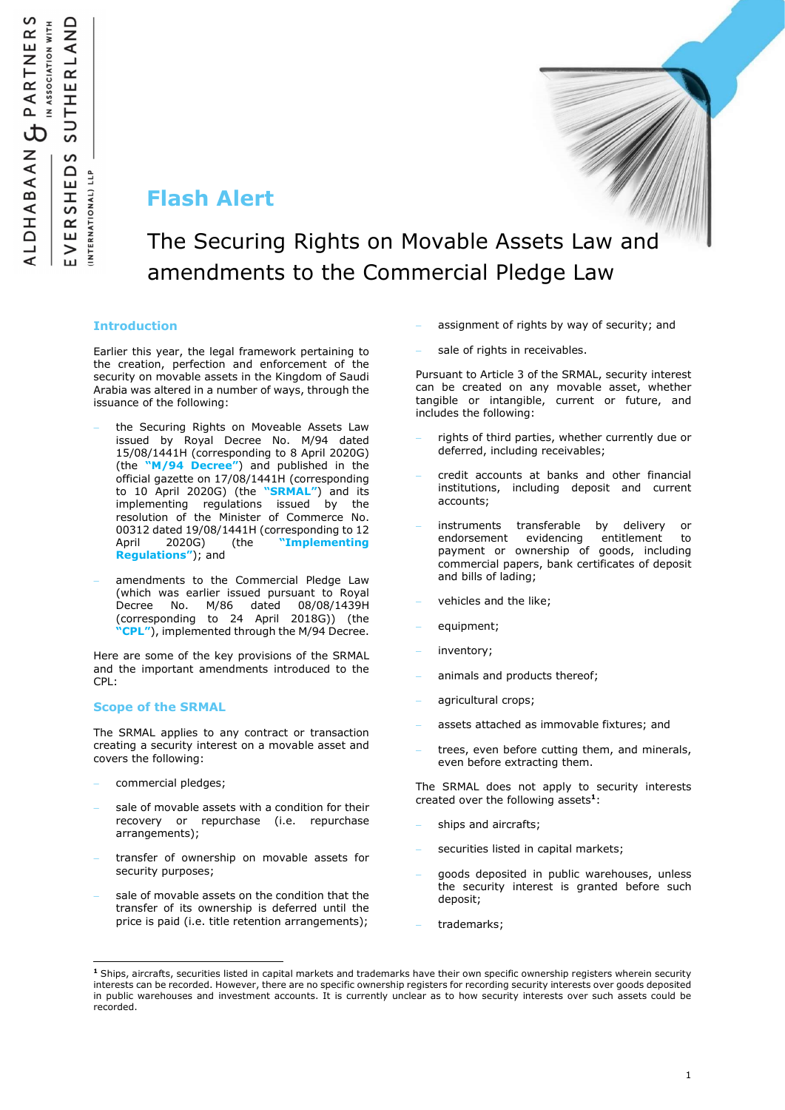## Flash Alert

# The Securing Rights on Movable Assets Law and amendments to the Commercial Pledge Law

### Introduction

Earlier this year, the legal framework pertaining to the creation, perfection and enforcement of the security on movable assets in the Kingdom of Saudi Arabia was altered in a number of ways, through the issuance of the following:

- the Securing Rights on Moveable Assets Law issued by Royal Decree No. M/94 dated 15/08/1441H (corresponding to 8 April 2020G) (the " $M/94$  Decree") and published in the official gazette on 17/08/1441H (corresponding to 10 April 2020G) (the "SRMAL") and its implementing regulations issued by the resolution of the Minister of Commerce No. 00312 dated 19/08/1441H (corresponding to 12 April 2020G) (the "Implementing Regulations"); and
- amendments to the Commercial Pledge Law (which was earlier issued pursuant to Royal Decree No. M/86 dated 08/08/1439H (corresponding to 24 April 2018G)) (the **CPL"**), implemented through the M/94 Decree.

Here are some of the key provisions of the SRMAL and the important amendments introduced to the CPL:

#### Scope of the SRMAL

The SRMAL applies to any contract or transaction creating a security interest on a movable asset and covers the following:

commercial pledges;

÷,

- sale of movable assets with a condition for their recovery or repurchase (i.e. repurchase arrangements);
- transfer of ownership on movable assets for security purposes;
- sale of movable assets on the condition that the transfer of its ownership is deferred until the price is paid (i.e. title retention arrangements);
- assignment of rights by way of security; and
- sale of rights in receivables.

Pursuant to Article 3 of the SRMAL, security interest can be created on any movable asset, whether tangible or intangible, current or future, and includes the following:

- rights of third parties, whether currently due or deferred, including receivables;
- credit accounts at banks and other financial institutions, including deposit and current accounts;
- instruments transferable by delivery or endorsement evidencing entitlement to payment or ownership of goods, including commercial papers, bank certificates of deposit and bills of lading;
- vehicles and the like;
- equipment;
- inventory;
- animals and products thereof;
- agricultural crops;
- assets attached as immovable fixtures; and
- trees, even before cutting them, and minerals, even before extracting them.

The SRMAL does not apply to security interests created over the following assets<sup>1</sup>:

- ships and aircrafts;
- securities listed in capital markets;
- goods deposited in public warehouses, unless the security interest is granted before such deposit;
- trademarks;

<sup>&</sup>lt;sup>1</sup> Ships, aircrafts, securities listed in capital markets and trademarks have their own specific ownership registers wherein security interests can be recorded. However, there are no specific ownership registers for recording security interests over goods deposited in public warehouses and investment accounts. It is currently unclear as to how security interests over such assets could be recorded.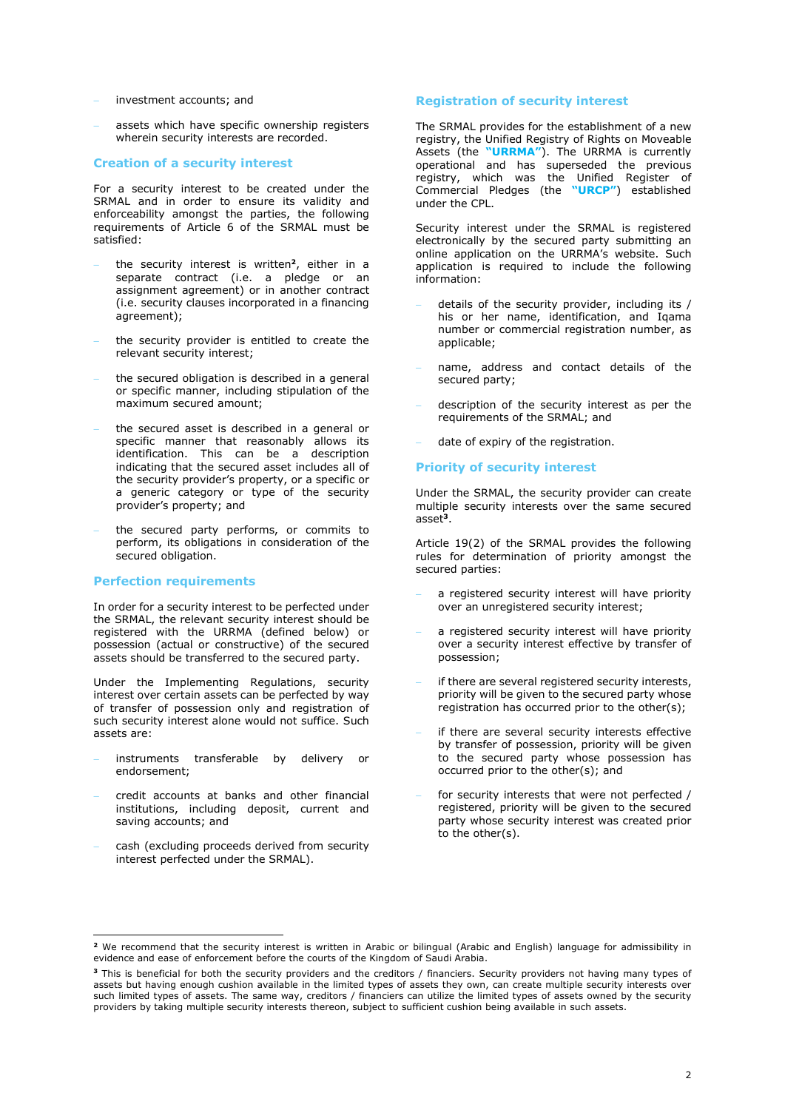- investment accounts; and
- assets which have specific ownership registers wherein security interests are recorded.

#### Creation of a security interest

For a security interest to be created under the SRMAL and in order to ensure its validity and enforceability amongst the parties, the following requirements of Article 6 of the SRMAL must be satisfied:

- the security interest is written<sup>2</sup>, either in a separate contract (i.e. a pledge or an assignment agreement) or in another contract (i.e. security clauses incorporated in a financing agreement);
- the security provider is entitled to create the relevant security interest;
- the secured obligation is described in a general or specific manner, including stipulation of the maximum secured amount;
- the secured asset is described in a general or specific manner that reasonably allows its identification. This can be a description indicating that the secured asset includes all of the security provider's property, or a specific or a generic category or type of the security provider's property; and
- the secured party performs, or commits to perform, its obligations in consideration of the secured obligation.

#### Perfection requirements

In order for a security interest to be perfected under the SRMAL, the relevant security interest should be registered with the URRMA (defined below) or possession (actual or constructive) of the secured assets should be transferred to the secured party.

Under the Implementing Regulations, security interest over certain assets can be perfected by way of transfer of possession only and registration of such security interest alone would not suffice. Such assets are:

- instruments transferable by delivery or endorsement;
- credit accounts at banks and other financial institutions, including deposit, current and saving accounts; and
- cash (excluding proceeds derived from security interest perfected under the SRMAL).

#### Registration of security interest

The SRMAL provides for the establishment of a new registry, the Unified Registry of Rights on Moveable Assets (the "URRMA"). The URRMA is currently operational and has superseded the previous registry, which was the Unified Register of Commercial Pledges (the "URCP") established under the CPL.

Security interest under the SRMAL is registered electronically by the secured party submitting an online application on the URRMA's website. Such application is required to include the following information:

- details of the security provider, including its / his or her name, identification, and Igama number or commercial registration number, as applicable;
- name, address and contact details of the secured party;
- description of the security interest as per the requirements of the SRMAL; and
- date of expiry of the registration.

#### Priority of security interest

Under the SRMAL, the security provider can create multiple security interests over the same secured asset<sup>3</sup>.

Article 19(2) of the SRMAL provides the following rules for determination of priority amongst the secured parties:

- a registered security interest will have priority over an unregistered security interest;
- a registered security interest will have priority over a security interest effective by transfer of possession;
- if there are several registered security interests, priority will be given to the secured party whose registration has occurred prior to the other(s);
- if there are several security interests effective by transfer of possession, priority will be given to the secured party whose possession has occurred prior to the other(s); and
- for security interests that were not perfected / registered, priority will be given to the secured party whose security interest was created prior to the other(s).

 2 We recommend that the security interest is written in Arabic or bilingual (Arabic and English) language for admissibility in evidence and ease of enforcement before the courts of the Kingdom of Saudi Arabia.

<sup>&</sup>lt;sup>3</sup> This is beneficial for both the security providers and the creditors / financiers. Security providers not having many types of assets but having enough cushion available in the limited types of assets they own, can create multiple security interests over such limited types of assets. The same way, creditors / financiers can utilize the limited types of assets owned by the security providers by taking multiple security interests thereon, subject to sufficient cushion being available in such assets.